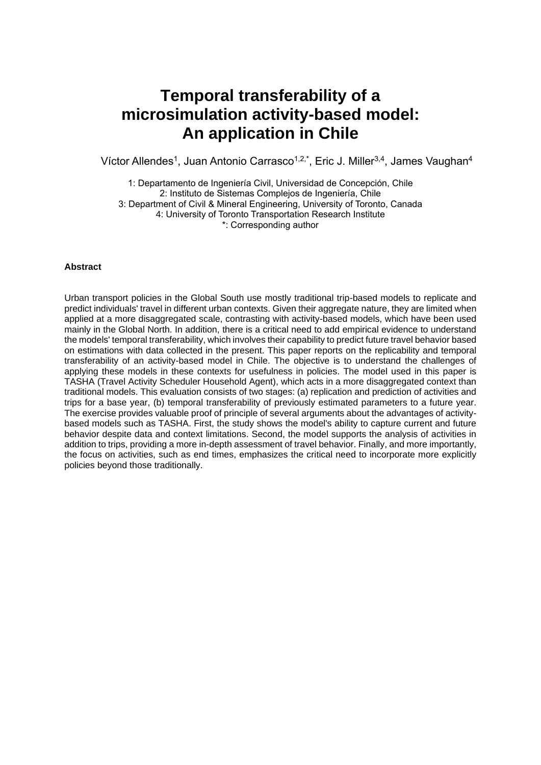# **Temporal transferability of a microsimulation activity-based model: An application in Chile**

Víctor Allendes<sup>1</sup>, Juan Antonio Carrasco<sup>1,2,\*</sup>, Eric J. Miller<sup>3,4</sup>, James Vaughan<sup>4</sup>

1: Departamento de Ingeniería Civil, Universidad de Concepción, Chile 2: Instituto de Sistemas Complejos de Ingeniería, Chile 3: Department of Civil & Mineral Engineering, University of Toronto, Canada 4: University of Toronto Transportation Research Institute \*: Corresponding author

## **Abstract**

Urban transport policies in the Global South use mostly traditional trip-based models to replicate and predict individuals' travel in different urban contexts. Given their aggregate nature, they are limited when applied at a more disaggregated scale, contrasting with activity-based models, which have been used mainly in the Global North. In addition, there is a critical need to add empirical evidence to understand the models' temporal transferability, which involves their capability to predict future travel behavior based on estimations with data collected in the present. This paper reports on the replicability and temporal transferability of an activity-based model in Chile. The objective is to understand the challenges of applying these models in these contexts for usefulness in policies. The model used in this paper is TASHA (Travel Activity Scheduler Household Agent), which acts in a more disaggregated context than traditional models. This evaluation consists of two stages: (a) replication and prediction of activities and trips for a base year, (b) temporal transferability of previously estimated parameters to a future year. The exercise provides valuable proof of principle of several arguments about the advantages of activitybased models such as TASHA. First, the study shows the model's ability to capture current and future behavior despite data and context limitations. Second, the model supports the analysis of activities in addition to trips, providing a more in-depth assessment of travel behavior. Finally, and more importantly, the focus on activities, such as end times, emphasizes the critical need to incorporate more explicitly policies beyond those traditionally.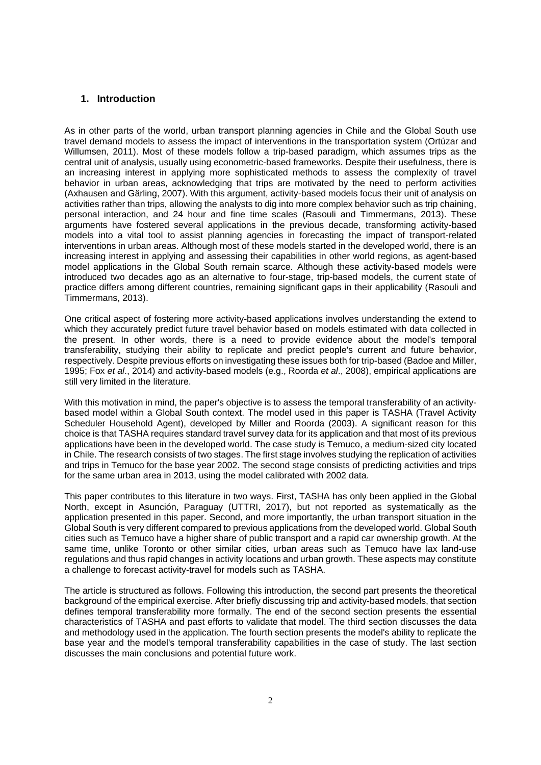## **1. Introduction**

As in other parts of the world, urban transport planning agencies in Chile and the Global South use travel demand models to assess the impact of interventions in the transportation system (Ortúzar and Willumsen, 2011). Most of these models follow a trip-based paradigm, which assumes trips as the central unit of analysis, usually using econometric-based frameworks. Despite their usefulness, there is an increasing interest in applying more sophisticated methods to assess the complexity of travel behavior in urban areas, acknowledging that trips are motivated by the need to perform activities (Axhausen and Gärling, 2007). With this argument, activity-based models focus their unit of analysis on activities rather than trips, allowing the analysts to dig into more complex behavior such as trip chaining, personal interaction, and 24 hour and fine time scales (Rasouli and Timmermans, 2013). These arguments have fostered several applications in the previous decade, transforming activity-based models into a vital tool to assist planning agencies in forecasting the impact of transport-related interventions in urban areas. Although most of these models started in the developed world, there is an increasing interest in applying and assessing their capabilities in other world regions, as agent-based model applications in the Global South remain scarce. Although these activity-based models were introduced two decades ago as an alternative to four-stage, trip-based models, the current state of practice differs among different countries, remaining significant gaps in their applicability (Rasouli and Timmermans, 2013).

One critical aspect of fostering more activity-based applications involves understanding the extend to which they accurately predict future travel behavior based on models estimated with data collected in the present. In other words, there is a need to provide evidence about the model's temporal transferability, studying their ability to replicate and predict people's current and future behavior, respectively. Despite previous efforts on investigating these issues both for trip-based (Badoe and Miller, 1995; Fox *et al*., 2014) and activity-based models (e.g., Roorda *et al*., 2008), empirical applications are still very limited in the literature.

With this motivation in mind, the paper's objective is to assess the temporal transferability of an activitybased model within a Global South context. The model used in this paper is TASHA (Travel Activity Scheduler Household Agent), developed by Miller and Roorda (2003). A significant reason for this choice is that TASHA requires standard travel survey data for its application and that most of its previous applications have been in the developed world. The case study is Temuco, a medium-sized city located in Chile. The research consists of two stages. The first stage involves studying the replication of activities and trips in Temuco for the base year 2002. The second stage consists of predicting activities and trips for the same urban area in 2013, using the model calibrated with 2002 data.

This paper contributes to this literature in two ways. First, TASHA has only been applied in the Global North, except in Asunción, Paraguay (UTTRI, 2017), but not reported as systematically as the application presented in this paper. Second, and more importantly, the urban transport situation in the Global South is very different compared to previous applications from the developed world. Global South cities such as Temuco have a higher share of public transport and a rapid car ownership growth. At the same time, unlike Toronto or other similar cities, urban areas such as Temuco have lax land-use regulations and thus rapid changes in activity locations and urban growth. These aspects may constitute a challenge to forecast activity-travel for models such as TASHA.

The article is structured as follows. Following this introduction, the second part presents the theoretical background of the empirical exercise. After briefly discussing trip and activity-based models, that section defines temporal transferability more formally. The end of the second section presents the essential characteristics of TASHA and past efforts to validate that model. The third section discusses the data and methodology used in the application. The fourth section presents the model's ability to replicate the base year and the model's temporal transferability capabilities in the case of study. The last section discusses the main conclusions and potential future work.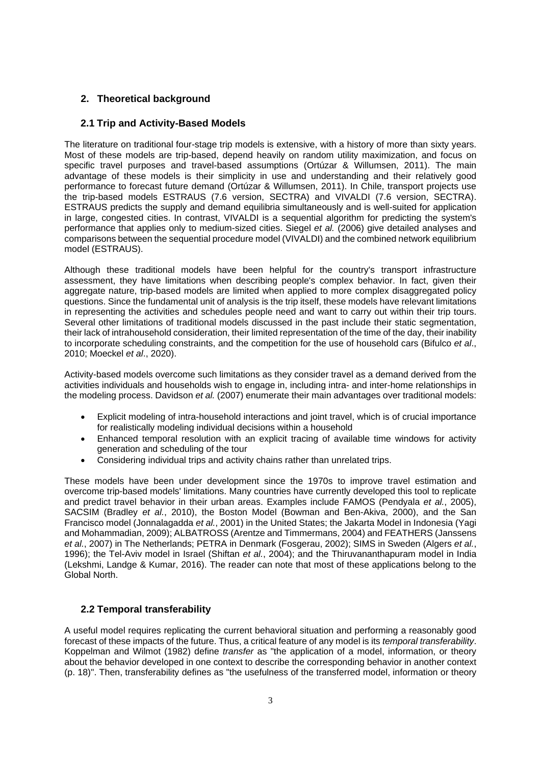# **2. Theoretical background**

# **2.1 Trip and Activity-Based Models**

The literature on traditional four-stage trip models is extensive, with a history of more than sixty years. Most of these models are trip-based, depend heavily on random utility maximization, and focus on specific travel purposes and travel-based assumptions (Ortúzar & Willumsen, 2011). The main advantage of these models is their simplicity in use and understanding and their relatively good performance to forecast future demand (Ortúzar & Willumsen, 2011). In Chile, transport projects use the trip-based models ESTRAUS (7.6 version, SECTRA) and VIVALDI (7.6 version, SECTRA). ESTRAUS predicts the supply and demand equilibria simultaneously and is well-suited for application in large, congested cities. In contrast, VIVALDI is a sequential algorithm for predicting the system's performance that applies only to medium-sized cities. Siegel *et al.* (2006) give detailed analyses and comparisons between the sequential procedure model (VIVALDI) and the combined network equilibrium model (ESTRAUS).

Although these traditional models have been helpful for the country's transport infrastructure assessment, they have limitations when describing people's complex behavior. In fact, given their aggregate nature, trip-based models are limited when applied to more complex disaggregated policy questions. Since the fundamental unit of analysis is the trip itself, these models have relevant limitations in representing the activities and schedules people need and want to carry out within their trip tours. Several other limitations of traditional models discussed in the past include their static segmentation, their lack of intrahousehold consideration, their limited representation of the time of the day, their inability to incorporate scheduling constraints, and the competition for the use of household cars (Bifulco *et al*., 2010; Moeckel *et al*., 2020).

Activity-based models overcome such limitations as they consider travel as a demand derived from the activities individuals and households wish to engage in, including intra- and inter-home relationships in the modeling process. Davidson *et al.* (2007) enumerate their main advantages over traditional models:

- Explicit modeling of intra-household interactions and joint travel, which is of crucial importance for realistically modeling individual decisions within a household
- Enhanced temporal resolution with an explicit tracing of available time windows for activity generation and scheduling of the tour
- Considering individual trips and activity chains rather than unrelated trips.

These models have been under development since the 1970s to improve travel estimation and overcome trip-based models' limitations. Many countries have currently developed this tool to replicate and predict travel behavior in their urban areas. Examples include FAMOS (Pendyala *et al.*, 2005), SACSIM (Bradley *et al.*, 2010), the Boston Model (Bowman and Ben-Akiva, 2000), and the San Francisco model (Jonnalagadda *et al.*, 2001) in the United States; the Jakarta Model in Indonesia (Yagi and Mohammadian, 2009); ALBATROSS (Arentze and Timmermans, 2004) and FEATHERS (Janssens *et al.*, 2007) in The Netherlands; PETRA in Denmark (Fosgerau, 2002); SIMS in Sweden (Algers *et al.*, 1996); the Tel-Aviv model in Israel (Shiftan *et al.*, 2004); and the Thiruvananthapuram model in India (Lekshmi, Landge & Kumar, 2016). The reader can note that most of these applications belong to the Global North.

# **2.2 Temporal transferability**

A useful model requires replicating the current behavioral situation and performing a reasonably good forecast of these impacts of the future. Thus, a critical feature of any model is its *temporal transferability*. Koppelman and Wilmot (1982) define *transfer* as "the application of a model, information, or theory about the behavior developed in one context to describe the corresponding behavior in another context (p. 18)". Then, transferability defines as "the usefulness of the transferred model, information or theory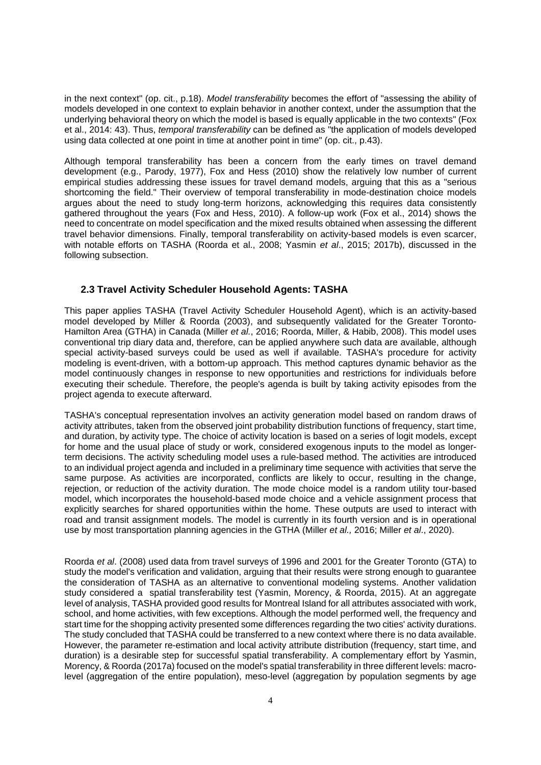in the next context" (op. cit., p.18). *Model transferability* becomes the effort of "assessing the ability of models developed in one context to explain behavior in another context, under the assumption that the underlying behavioral theory on which the model is based is equally applicable in the two contexts" (Fox et al., 2014: 43). Thus, *temporal transferability* can be defined as "the application of models developed using data collected at one point in time at another point in time" (op. cit., p.43).

Although temporal transferability has been a concern from the early times on travel demand development (e.g., Parody, 1977), Fox and Hess (2010) show the relatively low number of current empirical studies addressing these issues for travel demand models, arguing that this as a "serious shortcoming the field." Their overview of temporal transferability in mode-destination choice models argues about the need to study long-term horizons, acknowledging this requires data consistently gathered throughout the years (Fox and Hess, 2010). A follow-up work (Fox et al., 2014) shows the need to concentrate on model specification and the mixed results obtained when assessing the different travel behavior dimensions. Finally, temporal transferability on activity-based models is even scarcer, with notable efforts on TASHA (Roorda et al., 2008; Yasmin *et al*., 2015; 2017b), discussed in the following subsection.

## **2.3 Travel Activity Scheduler Household Agents: TASHA**

This paper applies TASHA (Travel Activity Scheduler Household Agent), which is an activity-based model developed by Miller & Roorda (2003), and subsequently validated for the Greater Toronto-Hamilton Area (GTHA) in Canada (Miller *et al.*, 2016; Roorda, Miller, & Habib, 2008). This model uses conventional trip diary data and, therefore, can be applied anywhere such data are available, although special activity-based surveys could be used as well if available. TASHA's procedure for activity modeling is event-driven, with a bottom-up approach. This method captures dynamic behavior as the model continuously changes in response to new opportunities and restrictions for individuals before executing their schedule. Therefore, the people's agenda is built by taking activity episodes from the project agenda to execute afterward.

TASHA's conceptual representation involves an activity generation model based on random draws of activity attributes, taken from the observed joint probability distribution functions of frequency, start time, and duration, by activity type. The choice of activity location is based on a series of logit models, except for home and the usual place of study or work, considered exogenous inputs to the model as longerterm decisions. The activity scheduling model uses a rule-based method. The activities are introduced to an individual project agenda and included in a preliminary time sequence with activities that serve the same purpose. As activities are incorporated, conflicts are likely to occur, resulting in the change, rejection, or reduction of the activity duration. The mode choice model is a random utility tour-based model, which incorporates the household-based mode choice and a vehicle assignment process that explicitly searches for shared opportunities within the home. These outputs are used to interact with road and transit assignment models. The model is currently in its fourth version and is in operational use by most transportation planning agencies in the GTHA (Miller *et al.,* 2016; Miller *et al*., 2020).

Roorda *et al*. (2008) used data from travel surveys of 1996 and 2001 for the Greater Toronto (GTA) to study the model's verification and validation, arguing that their results were strong enough to guarantee the consideration of TASHA as an alternative to conventional modeling systems. Another validation study considered a spatial transferability test (Yasmin, Morency, & Roorda, 2015). At an aggregate level of analysis, TASHA provided good results for Montreal Island for all attributes associated with work, school, and home activities, with few exceptions. Although the model performed well, the frequency and start time for the shopping activity presented some differences regarding the two cities' activity durations. The study concluded that TASHA could be transferred to a new context where there is no data available. However, the parameter re-estimation and local activity attribute distribution (frequency, start time, and duration) is a desirable step for successful spatial transferability. A complementary effort by Yasmin, Morency, & Roorda (2017a) focused on the model's spatial transferability in three different levels: macrolevel (aggregation of the entire population), meso-level (aggregation by population segments by age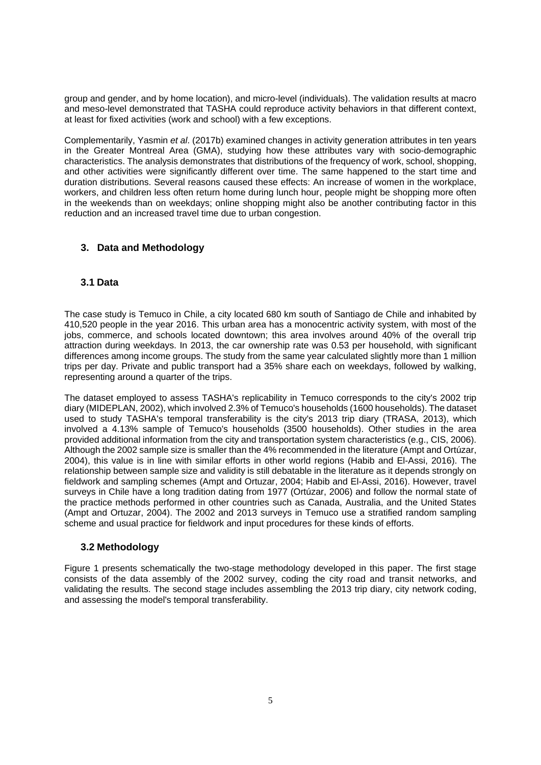group and gender, and by home location), and micro-level (individuals). The validation results at macro and meso-level demonstrated that TASHA could reproduce activity behaviors in that different context, at least for fixed activities (work and school) with a few exceptions.

Complementarily, Yasmin *et al*. (2017b) examined changes in activity generation attributes in ten years in the Greater Montreal Area (GMA), studying how these attributes vary with socio-demographic characteristics. The analysis demonstrates that distributions of the frequency of work, school, shopping, and other activities were significantly different over time. The same happened to the start time and duration distributions. Several reasons caused these effects: An increase of women in the workplace, workers, and children less often return home during lunch hour, people might be shopping more often in the weekends than on weekdays; online shopping might also be another contributing factor in this reduction and an increased travel time due to urban congestion.

# **3. Data and Methodology**

## **3.1 Data**

The case study is Temuco in Chile, a city located 680 km south of Santiago de Chile and inhabited by 410,520 people in the year 2016. This urban area has a monocentric activity system, with most of the jobs, commerce, and schools located downtown; this area involves around 40% of the overall trip attraction during weekdays. In 2013, the car ownership rate was 0.53 per household, with significant differences among income groups. The study from the same year calculated slightly more than 1 million trips per day. Private and public transport had a 35% share each on weekdays, followed by walking, representing around a quarter of the trips.

The dataset employed to assess TASHA's replicability in Temuco corresponds to the city's 2002 trip diary (MIDEPLAN, 2002), which involved 2.3% of Temuco's households (1600 households). The dataset used to study TASHA's temporal transferability is the city's 2013 trip diary (TRASA, 2013), which involved a 4.13% sample of Temuco's households (3500 households). Other studies in the area provided additional information from the city and transportation system characteristics (e.g., CIS, 2006). Although the 2002 sample size is smaller than the 4% recommended in the literature (Ampt and Ortúzar, 2004), this value is in line with similar efforts in other world regions (Habib and El-Assi, 2016). The relationship between sample size and validity is still debatable in the literature as it depends strongly on fieldwork and sampling schemes (Ampt and Ortuzar, 2004; Habib and El-Assi, 2016). However, travel surveys in Chile have a long tradition dating from 1977 (Ortúzar, 2006) and follow the normal state of the practice methods performed in other countries such as Canada, Australia, and the United States (Ampt and Ortuzar, 2004). The 2002 and 2013 surveys in Temuco use a stratified random sampling scheme and usual practice for fieldwork and input procedures for these kinds of efforts.

## **3.2 Methodology**

Figure 1 presents schematically the two-stage methodology developed in this paper. The first stage consists of the data assembly of the 2002 survey, coding the city road and transit networks, and validating the results. The second stage includes assembling the 2013 trip diary, city network coding, and assessing the model's temporal transferability.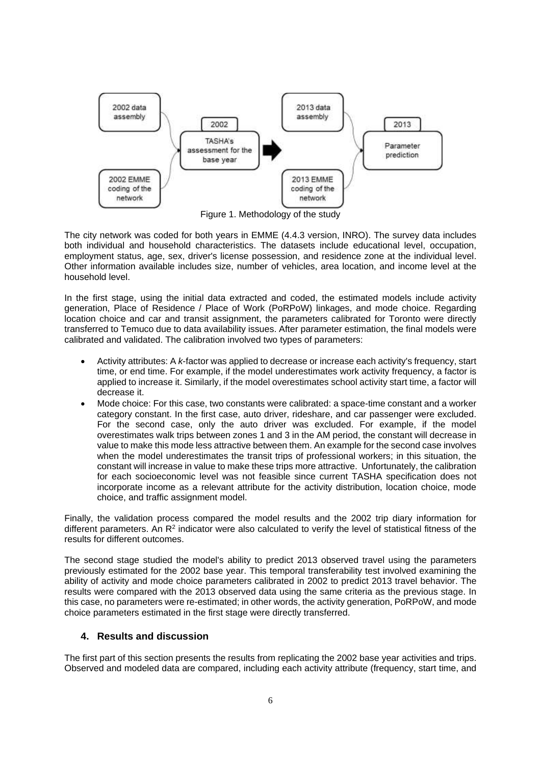

Figure 1. Methodology of the study

The city network was coded for both years in EMME (4.4.3 version, INRO). The survey data includes both individual and household characteristics. The datasets include educational level, occupation, employment status, age, sex, driver's license possession, and residence zone at the individual level. Other information available includes size, number of vehicles, area location, and income level at the household level.

In the first stage, using the initial data extracted and coded, the estimated models include activity generation, Place of Residence / Place of Work (PoRPoW) linkages, and mode choice. Regarding location choice and car and transit assignment, the parameters calibrated for Toronto were directly transferred to Temuco due to data availability issues. After parameter estimation, the final models were calibrated and validated. The calibration involved two types of parameters:

- Activity attributes: A *k*-factor was applied to decrease or increase each activity's frequency, start time, or end time. For example, if the model underestimates work activity frequency, a factor is applied to increase it. Similarly, if the model overestimates school activity start time, a factor will decrease it.
- Mode choice: For this case, two constants were calibrated: a space-time constant and a worker category constant. In the first case, auto driver, rideshare, and car passenger were excluded. For the second case, only the auto driver was excluded. For example, if the model overestimates walk trips between zones 1 and 3 in the AM period, the constant will decrease in value to make this mode less attractive between them. An example for the second case involves when the model underestimates the transit trips of professional workers; in this situation, the constant will increase in value to make these trips more attractive. Unfortunately, the calibration for each socioeconomic level was not feasible since current TASHA specification does not incorporate income as a relevant attribute for the activity distribution, location choice, mode choice, and traffic assignment model.

Finally, the validation process compared the model results and the 2002 trip diary information for different parameters. An  $R^2$  indicator were also calculated to verify the level of statistical fitness of the results for different outcomes.

The second stage studied the model's ability to predict 2013 observed travel using the parameters previously estimated for the 2002 base year. This temporal transferability test involved examining the ability of activity and mode choice parameters calibrated in 2002 to predict 2013 travel behavior. The results were compared with the 2013 observed data using the same criteria as the previous stage. In this case, no parameters were re-estimated; in other words, the activity generation, PoRPoW, and mode choice parameters estimated in the first stage were directly transferred.

## **4. Results and discussion**

The first part of this section presents the results from replicating the 2002 base year activities and trips. Observed and modeled data are compared, including each activity attribute (frequency, start time, and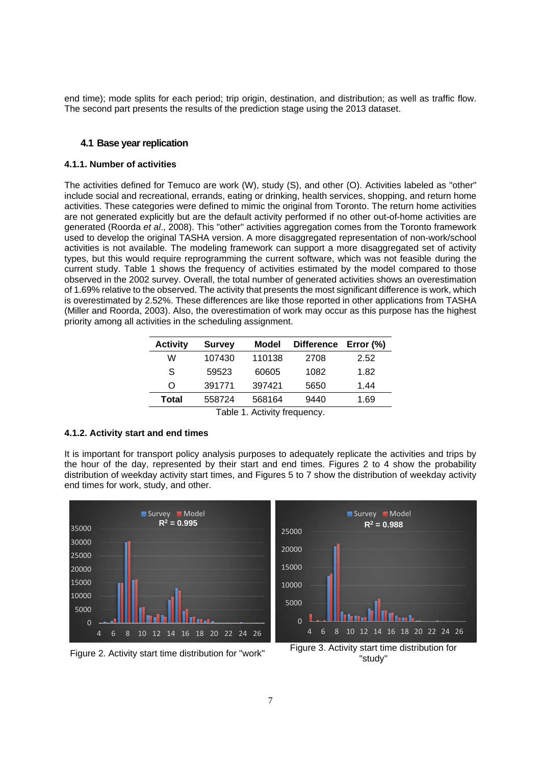end time); mode splits for each period; trip origin, destination, and distribution; as well as traffic flow. The second part presents the results of the prediction stage using the 2013 dataset.

#### **4.1 Base year replication**

#### **4.1.1. Number of activities**

The activities defined for Temuco are work (W), study (S), and other (O). Activities labeled as "other" include social and recreational, errands, eating or drinking, health services, shopping, and return home activities. These categories were defined to mimic the original from Toronto. The return home activities are not generated explicitly but are the default activity performed if no other out-of-home activities are generated (Roorda *et al*., 2008). This "other" activities aggregation comes from the Toronto framework used to develop the original TASHA version. A more disaggregated representation of non-work/school activities is not available. The modeling framework can support a more disaggregated set of activity types, but this would require reprogramming the current software, which was not feasible during the current study. Table 1 shows the frequency of activities estimated by the model compared to those observed in the 2002 survey. Overall, the total number of generated activities shows an overestimation of 1.69% relative to the observed. The activity that presents the most significant difference is work, which is overestimated by 2.52%. These differences are like those reported in other applications from TASHA (Miller and Roorda, 2003). Also, the overestimation of work may occur as this purpose has the highest priority among all activities in the scheduling assignment.

| <b>Activity</b> | <b>Survey</b> | Model              | <b>Difference</b> | Error (%) |  |
|-----------------|---------------|--------------------|-------------------|-----------|--|
| W               | 107430        | 110138             | 2708              | 2.52      |  |
| S               | 59523         | 60605              | 1082              | 1.82      |  |
| $\Omega$        | 391771        | 397421             | 5650              | 1.44      |  |
| Total           | 558724        | 568164             | 9440              | 1.69      |  |
|                 | Toblo 1       | Activity froquency |                   |           |  |

Table 1. Activity frequency.

#### **4.1.2. Activity start and end times**

It is important for transport policy analysis purposes to adequately replicate the activities and trips by the hour of the day, represented by their start and end times. Figures 2 to 4 show the probability distribution of weekday activity start times, and Figures 5 to 7 show the distribution of weekday activity end times for work, study, and other.







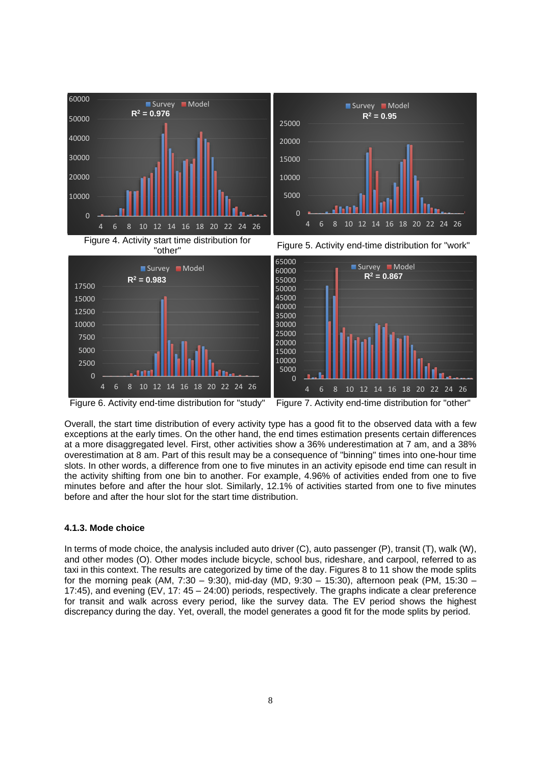

Figure 6. Activity end-time distribution for "study" Figure 7. Activity end-time distribution for "other"

Overall, the start time distribution of every activity type has a good fit to the observed data with a few exceptions at the early times. On the other hand, the end times estimation presents certain differences at a more disaggregated level. First, other activities show a 36% underestimation at 7 am, and a 38% overestimation at 8 am. Part of this result may be a consequence of "binning" times into one-hour time slots. In other words, a difference from one to five minutes in an activity episode end time can result in the activity shifting from one bin to another. For example, 4.96% of activities ended from one to five minutes before and after the hour slot. Similarly, 12.1% of activities started from one to five minutes before and after the hour slot for the start time distribution.

## **4.1.3. Mode choice**

In terms of mode choice, the analysis included auto driver (C), auto passenger (P), transit (T), walk (W), and other modes (O). Other modes include bicycle, school bus, rideshare, and carpool, referred to as taxi in this context. The results are categorized by time of the day. Figures 8 to 11 show the mode splits for the morning peak (AM, 7:30 – 9:30), mid-day (MD, 9:30 – 15:30), afternoon peak (PM, 15:30 – 17:45), and evening (EV, 17: 45 – 24:00) periods, respectively. The graphs indicate a clear preference for transit and walk across every period, like the survey data. The EV period shows the highest discrepancy during the day. Yet, overall, the model generates a good fit for the mode splits by period.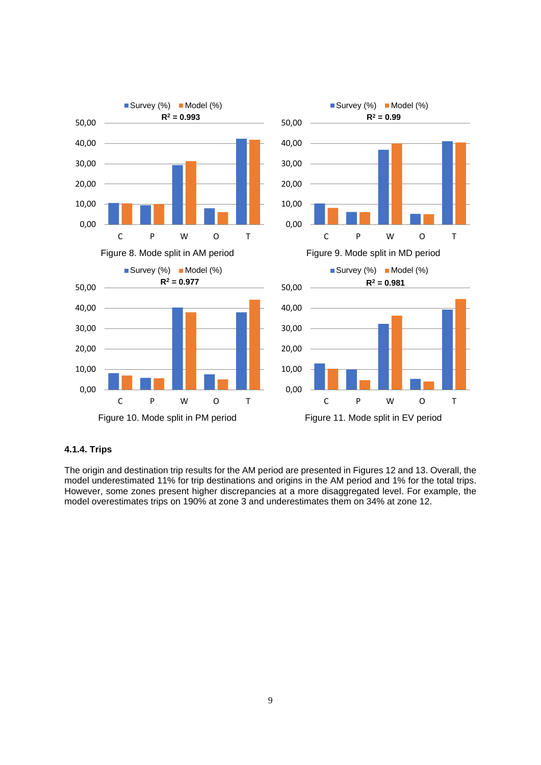

## **4.1.4. Trips**

The origin and destination trip results for the AM period are presented in Figures 12 and 13. Overall, the model underestimated 11% for trip destinations and origins in the AM period and 1% for the total trips. However, some zones present higher discrepancies at a more disaggregated level. For example, the model overestimates trips on 190% at zone 3 and underestimates them on 34% at zone 12.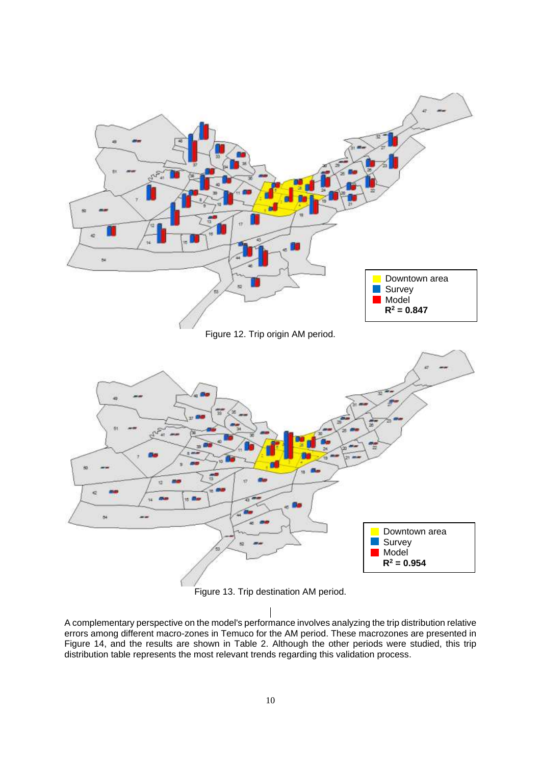

Figure 13. Trip destination AM period.

A complementary perspective on the model's performance involves analyzing the trip distribution relative errors among different macro-zones in Temuco for the AM period. These macrozones are presented in Figure 14, and the results are shown in Table 2. Although the other periods were studied, this trip distribution table represents the most relevant trends regarding this validation process.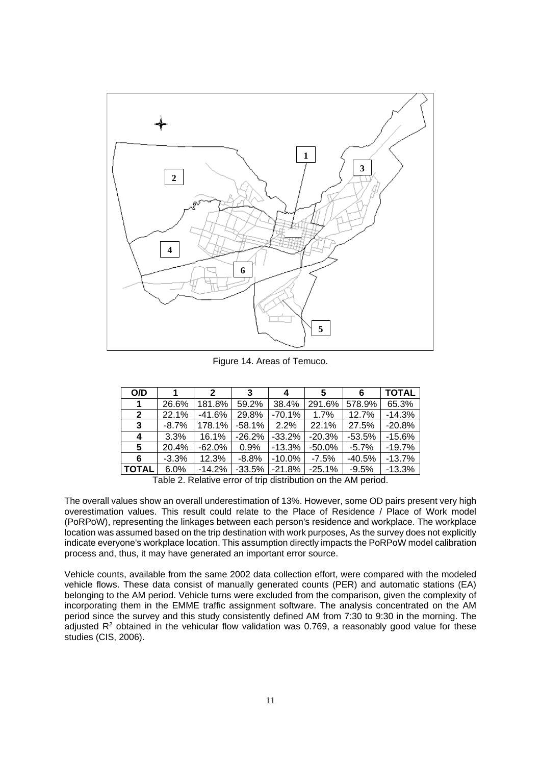

Figure 14. Areas of Temuco.

| O/D                                                           |         | 2        | 3        |           | 5        | 6        | <b>TOTAL</b> |
|---------------------------------------------------------------|---------|----------|----------|-----------|----------|----------|--------------|
| 1                                                             | 26.6%   | 181.8%   | 59.2%    | 38.4%     | 291.6%   | 578.9%   | 65.3%        |
| $\overline{2}$                                                | 22.1%   | $-41.6%$ | 29.8%    | $-70.1%$  | 1.7%     | 12.7%    | $-14.3%$     |
| 3                                                             | $-8.7%$ | 178.1%   | $-58.1%$ | 2.2%      | 22.1%    | 27.5%    | $-20.8%$     |
| 4                                                             | 3.3%    | 16.1%    | $-26.2%$ | $-33.2%$  | $-20.3%$ | $-53.5%$ | $-15.6%$     |
| 5                                                             | 20.4%   | $-62.0%$ | 0.9%     | $-13.3%$  | $-50.0%$ | $-5.7%$  | $-19.7%$     |
| 6                                                             | $-3.3%$ | 12.3%    | $-8.8%$  | $-10.0\%$ | $-7.5%$  | $-40.5%$ | $-13.7%$     |
| <b>TOTAL</b>                                                  | 6.0%    | $-14.2%$ | $-33.5%$ | $-21.8%$  | $-25.1%$ | $-9.5%$  | $-13.3%$     |
| Table O. Dalative evening type distribution and the AM portad |         |          |          |           |          |          |              |

Table 2. Relative error of trip distribution on the AM period.

The overall values show an overall underestimation of 13%. However, some OD pairs present very high overestimation values. This result could relate to the Place of Residence / Place of Work model (PoRPoW), representing the linkages between each person's residence and workplace. The workplace location was assumed based on the trip destination with work purposes, As the survey does not explicitly indicate everyone's workplace location. This assumption directly impacts the PoRPoW model calibration process and, thus, it may have generated an important error source.

Vehicle counts, available from the same 2002 data collection effort, were compared with the modeled vehicle flows. These data consist of manually generated counts (PER) and automatic stations (EA) belonging to the AM period. Vehicle turns were excluded from the comparison, given the complexity of incorporating them in the EMME traffic assignment software. The analysis concentrated on the AM period since the survey and this study consistently defined AM from 7:30 to 9:30 in the morning. The adjusted R<sup>2</sup> obtained in the vehicular flow validation was 0.769, a reasonably good value for these studies (CIS, 2006).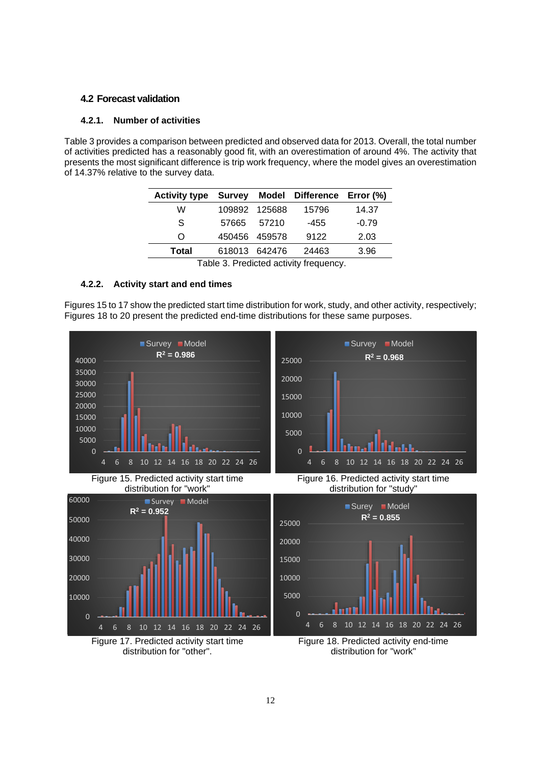#### **4.2 Forecast validation**

#### **4.2.1. Number of activities**

Table 3 provides a comparison between predicted and observed data for 2013. Overall, the total number of activities predicted has a reasonably good fit, with an overestimation of around 4%. The activity that presents the most significant difference is trip work frequency, where the model gives an overestimation of 14.37% relative to the survey data.

| <b>Activity type</b> | <b>Survey</b> |               | Model Difference Error (%) |         |
|----------------------|---------------|---------------|----------------------------|---------|
| W                    |               | 109892 125688 | 15796                      | 14.37   |
| S                    | 57665         | 57210         | -455                       | $-0.79$ |
| O                    | 450456 459578 |               | 9122                       | 2.03    |
| Total                |               | 618013 642476 | 24463                      | 3.96    |

Table 3. Predicted activity frequency.

## **4.2.2. Activity start and end times**

Figures 15 to 17 show the predicted start time distribution for work, study, and other activity, respectively; Figures 18 to 20 present the predicted end-time distributions for these same purposes.



Figure 17. Predicted activity start time distribution for "other".

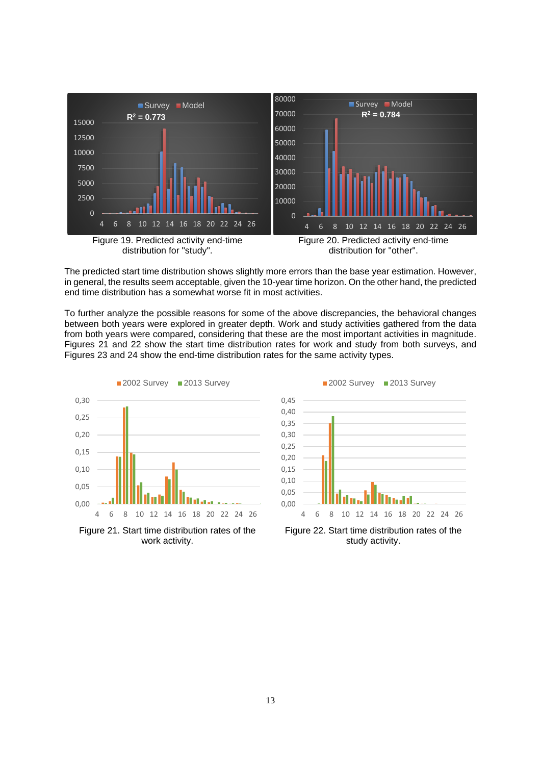

The predicted start time distribution shows slightly more errors than the base year estimation. However, in general, the results seem acceptable, given the 10-year time horizon. On the other hand, the predicted end time distribution has a somewhat worse fit in most activities.

To further analyze the possible reasons for some of the above discrepancies, the behavioral changes between both years were explored in greater depth. Work and study activities gathered from the data from both years were compared, considering that these are the most important activities in magnitude. Figures 21 and 22 show the start time distribution rates for work and study from both surveys, and Figures 23 and 24 show the end-time distribution rates for the same activity types.



Figure 21. Start time distribution rates of the work activity.



Figure 22. Start time distribution rates of the study activity.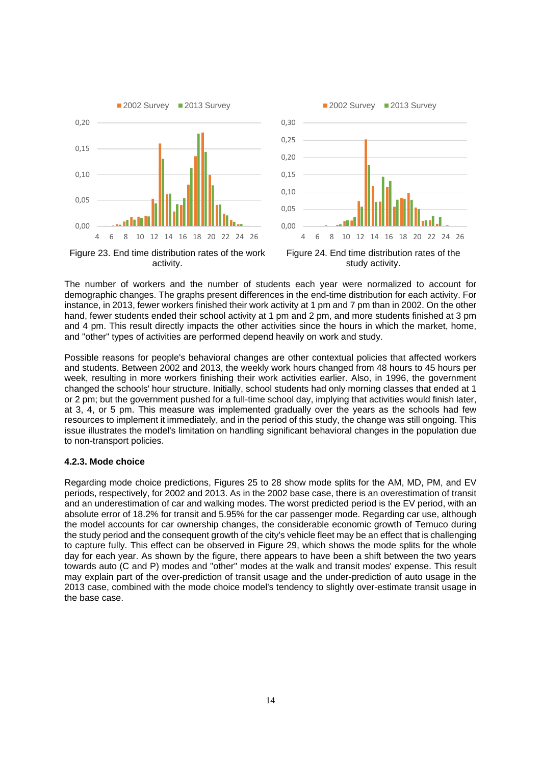

Figure 23. End time distribution rates of the work activity.



Figure 24. End time distribution rates of the study activity.

The number of workers and the number of students each year were normalized to account for demographic changes. The graphs present differences in the end-time distribution for each activity. For instance, in 2013, fewer workers finished their work activity at 1 pm and 7 pm than in 2002. On the other hand, fewer students ended their school activity at 1 pm and 2 pm, and more students finished at 3 pm and 4 pm. This result directly impacts the other activities since the hours in which the market, home, and "other" types of activities are performed depend heavily on work and study.

Possible reasons for people's behavioral changes are other contextual policies that affected workers and students. Between 2002 and 2013, the weekly work hours changed from 48 hours to 45 hours per week, resulting in more workers finishing their work activities earlier. Also, in 1996, the government changed the schools' hour structure. Initially, school students had only morning classes that ended at 1 or 2 pm; but the government pushed for a full-time school day, implying that activities would finish later, at 3, 4, or 5 pm. This measure was implemented gradually over the years as the schools had few resources to implement it immediately, and in the period of this study, the change was still ongoing. This issue illustrates the model's limitation on handling significant behavioral changes in the population due to non-transport policies.

#### **4.2.3. Mode choice**

Regarding mode choice predictions, Figures 25 to 28 show mode splits for the AM, MD, PM, and EV periods, respectively, for 2002 and 2013. As in the 2002 base case, there is an overestimation of transit and an underestimation of car and walking modes. The worst predicted period is the EV period, with an absolute error of 18.2% for transit and 5.95% for the car passenger mode. Regarding car use, although the model accounts for car ownership changes, the considerable economic growth of Temuco during the study period and the consequent growth of the city's vehicle fleet may be an effect that is challenging to capture fully. This effect can be observed in Figure 29, which shows the mode splits for the whole day for each year. As shown by the figure, there appears to have been a shift between the two years towards auto (C and P) modes and "other" modes at the walk and transit modes' expense. This result may explain part of the over-prediction of transit usage and the under-prediction of auto usage in the 2013 case, combined with the mode choice model's tendency to slightly over-estimate transit usage in the base case.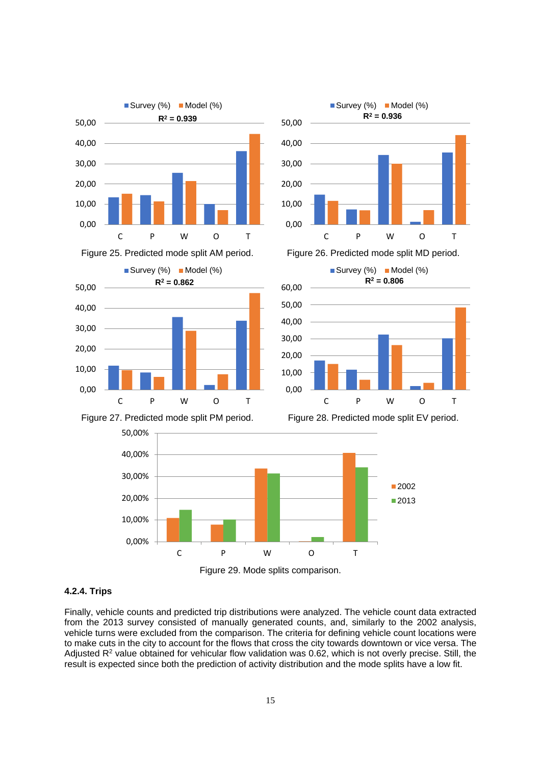

Figure 25. Predicted mode split AM period. Figure 26. Predicted mode split MD period.



Survey (%) Model (%)

**R<sup>2</sup> = 0.806**





Figure 27. Predicted mode split PM period. Figure 28. Predicted mode split EV period.





#### **4.2.4. Trips**

Finally, vehicle counts and predicted trip distributions were analyzed. The vehicle count data extracted from the 2013 survey consisted of manually generated counts, and, similarly to the 2002 analysis, vehicle turns were excluded from the comparison. The criteria for defining vehicle count locations were to make cuts in the city to account for the flows that cross the city towards downtown or vice versa. The Adjusted  $R<sup>2</sup>$  value obtained for vehicular flow validation was 0.62, which is not overly precise. Still, the result is expected since both the prediction of activity distribution and the mode splits have a low fit.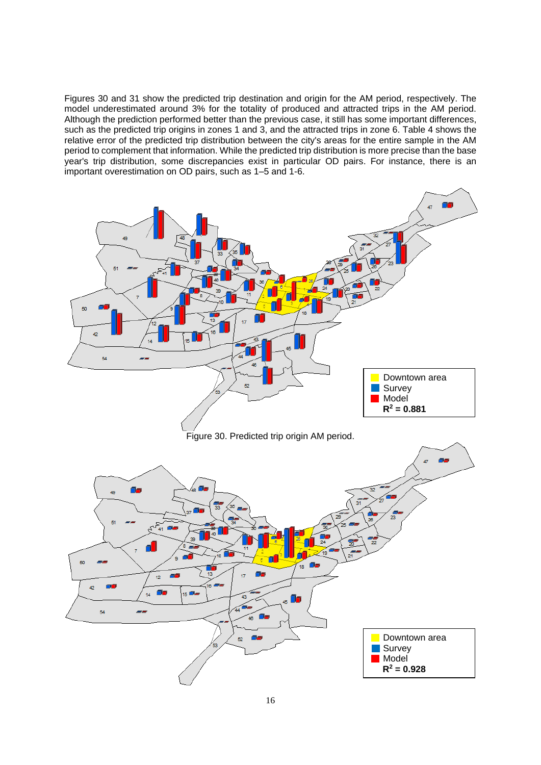Figures 30 and 31 show the predicted trip destination and origin for the AM period, respectively. The model underestimated around 3% for the totality of produced and attracted trips in the AM period. Although the prediction performed better than the previous case, it still has some important differences, such as the predicted trip origins in zones 1 and 3, and the attracted trips in zone 6. Table 4 shows the relative error of the predicted trip distribution between the city's areas for the entire sample in the AM period to complement that information. While the predicted trip distribution is more precise than the base year's trip distribution, some discrepancies exist in particular OD pairs. For instance, there is an important overestimation on OD pairs, such as 1–5 and 1-6.

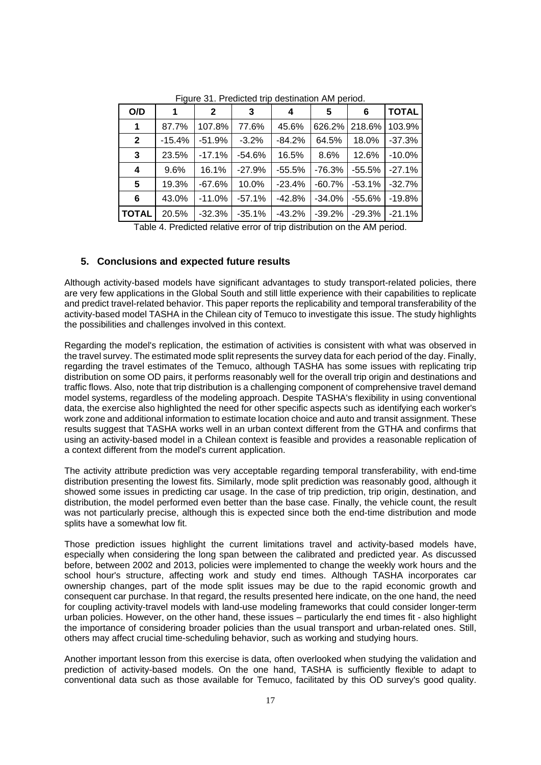| O/D            | 1        | $\mathbf{2}$ | 3        | 4        | 5         | 6        | <b>TOTAL</b> |
|----------------|----------|--------------|----------|----------|-----------|----------|--------------|
| 1              | 87.7%    | 107.8%       | 77.6%    | 45.6%    | 626.2%    | 218.6%   | 103.9%       |
| $\mathbf{2}$   | $-15.4%$ | $-51.9%$     | $-3.2%$  | $-84.2%$ | 64.5%     | 18.0%    | $-37.3%$     |
| 3              | 23.5%    | $-17.1%$     | $-54.6%$ | 16.5%    | 8.6%      | 12.6%    | $-10.0%$     |
| 4              | 9.6%     | 16.1%        | $-27.9%$ | $-55.5%$ | $-76.3%$  | $-55.5%$ | $-27.1%$     |
| $5\phantom{1}$ | 19.3%    | $-67.6%$     | 10.0%    | $-23.4%$ | $-60.7\%$ | $-53.1%$ | $-32.7%$     |
| 6              | 43.0%    | $-11.0%$     | $-57.1%$ | $-42.8%$ | $-34.0%$  | $-55.6%$ | $-19.8%$     |
| <b>TOTAL</b>   | 20.5%    | $-32.3%$     | $-35.1%$ | $-43.2%$ | $-39.2%$  | $-29.3%$ | $-21.1%$     |

Figure 31. Predicted trip destination AM period.

Table 4. Predicted relative error of trip distribution on the AM period.

#### **5. Conclusions and expected future results**

Although activity-based models have significant advantages to study transport-related policies, there are very few applications in the Global South and still little experience with their capabilities to replicate and predict travel-related behavior. This paper reports the replicability and temporal transferability of the activity-based model TASHA in the Chilean city of Temuco to investigate this issue. The study highlights the possibilities and challenges involved in this context.

Regarding the model's replication, the estimation of activities is consistent with what was observed in the travel survey. The estimated mode split represents the survey data for each period of the day. Finally, regarding the travel estimates of the Temuco, although TASHA has some issues with replicating trip distribution on some OD pairs, it performs reasonably well for the overall trip origin and destinations and traffic flows. Also, note that trip distribution is a challenging component of comprehensive travel demand model systems, regardless of the modeling approach. Despite TASHA's flexibility in using conventional data, the exercise also highlighted the need for other specific aspects such as identifying each worker's work zone and additional information to estimate location choice and auto and transit assignment. These results suggest that TASHA works well in an urban context different from the GTHA and confirms that using an activity-based model in a Chilean context is feasible and provides a reasonable replication of a context different from the model's current application.

The activity attribute prediction was very acceptable regarding temporal transferability, with end-time distribution presenting the lowest fits. Similarly, mode split prediction was reasonably good, although it showed some issues in predicting car usage. In the case of trip prediction, trip origin, destination, and distribution, the model performed even better than the base case. Finally, the vehicle count, the result was not particularly precise, although this is expected since both the end-time distribution and mode splits have a somewhat low fit.

Those prediction issues highlight the current limitations travel and activity-based models have, especially when considering the long span between the calibrated and predicted year. As discussed before, between 2002 and 2013, policies were implemented to change the weekly work hours and the school hour's structure, affecting work and study end times. Although TASHA incorporates car ownership changes, part of the mode split issues may be due to the rapid economic growth and consequent car purchase. In that regard, the results presented here indicate, on the one hand, the need for coupling activity-travel models with land-use modeling frameworks that could consider longer-term urban policies. However, on the other hand, these issues – particularly the end times fit - also highlight the importance of considering broader policies than the usual transport and urban-related ones. Still, others may affect crucial time-scheduling behavior, such as working and studying hours.

Another important lesson from this exercise is data, often overlooked when studying the validation and prediction of activity-based models. On the one hand, TASHA is sufficiently flexible to adapt to conventional data such as those available for Temuco, facilitated by this OD survey's good quality.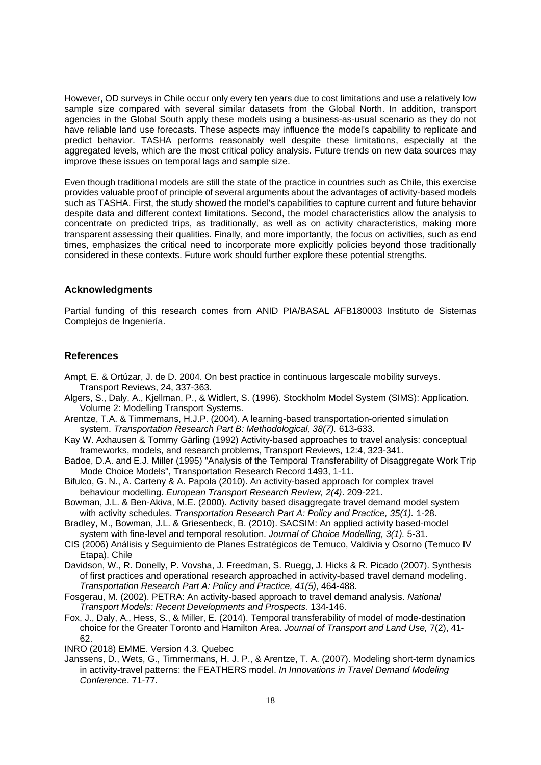However, OD surveys in Chile occur only every ten years due to cost limitations and use a relatively low sample size compared with several similar datasets from the Global North. In addition, transport agencies in the Global South apply these models using a business-as-usual scenario as they do not have reliable land use forecasts. These aspects may influence the model's capability to replicate and predict behavior. TASHA performs reasonably well despite these limitations, especially at the aggregated levels, which are the most critical policy analysis. Future trends on new data sources may improve these issues on temporal lags and sample size.

Even though traditional models are still the state of the practice in countries such as Chile, this exercise provides valuable proof of principle of several arguments about the advantages of activity-based models such as TASHA. First, the study showed the model's capabilities to capture current and future behavior despite data and different context limitations. Second, the model characteristics allow the analysis to concentrate on predicted trips, as traditionally, as well as on activity characteristics, making more transparent assessing their qualities. Finally, and more importantly, the focus on activities, such as end times, emphasizes the critical need to incorporate more explicitly policies beyond those traditionally considered in these contexts. Future work should further explore these potential strengths.

# **Acknowledgments**

Partial funding of this research comes from ANID PIA/BASAL AFB180003 Instituto de Sistemas Complejos de Ingeniería.

### **References**

- Ampt, E. & Ortúzar, J. de D. 2004. On best practice in continuous largescale mobility surveys. Transport Reviews, 24, 337-363.
- Algers, S., Daly, A., Kjellman, P., & Widlert, S. (1996). Stockholm Model System (SIMS): Application. Volume 2: Modelling Transport Systems.
- Arentze, T.A. & Timmemans, H.J.P. (2004). A learning-based transportation-oriented simulation system. *Transportation Research Part B: Methodological, 38(7).* 613-633.
- Kay W. Axhausen & Tommy Gärling (1992) Activity-based approaches to travel analysis: conceptual frameworks, models, and research problems, Transport Reviews, 12:4, 323-341.
- Badoe, D.A. and E.J. Miller (1995) "Analysis of the Temporal Transferability of Disaggregate Work Trip Mode Choice Models", Transportation Research Record 1493, 1-11.
- Bifulco, G. N., A. Carteny & A. Papola (2010). An activity-based approach for complex travel behaviour modelling. *European Transport Research Review, 2(4)*. 209-221.
- Bowman, J.L. & Ben-Akiva, M.E. (2000). Activity based disaggregate travel demand model system with activity schedules. *Transportation Research Part A: Policy and Practice, 35(1).* 1-28.
- Bradley, M., Bowman, J.L. & Griesenbeck, B. (2010). SACSIM: An applied activity based-model system with fine-level and temporal resolution. *Journal of Choice Modelling, 3(1).* 5-31.
- CIS (2006) Análisis y Seguimiento de Planes Estratégicos de Temuco, Valdivia y Osorno (Temuco IV Etapa). Chile
- Davidson, W., R. Donelly, P. Vovsha, J. Freedman, S. Ruegg, J. Hicks & R. Picado (2007). Synthesis of first practices and operational research approached in activity-based travel demand modeling. *Transportation Research Part A: Policy and Practice, 41(5)*, 464-488.
- Fosgerau, M. (2002). PETRA: An activity-based approach to travel demand analysis. *National Transport Models: Recent Developments and Prospects.* 134-146.
- Fox, J., Daly, A., Hess, S., & Miller, E. (2014). Temporal transferability of model of mode-destination choice for the Greater Toronto and Hamilton Area. *Journal of Transport and Land Use,* 7(2), 41- 62.
- INRO (2018) EMME. Version 4.3. Quebec
- Janssens, D., Wets, G., Timmermans, H. J. P., & Arentze, T. A. (2007). Modeling short-term dynamics in activity-travel patterns: the FEATHERS model. *In Innovations in Travel Demand Modeling Conference*. 71-77.